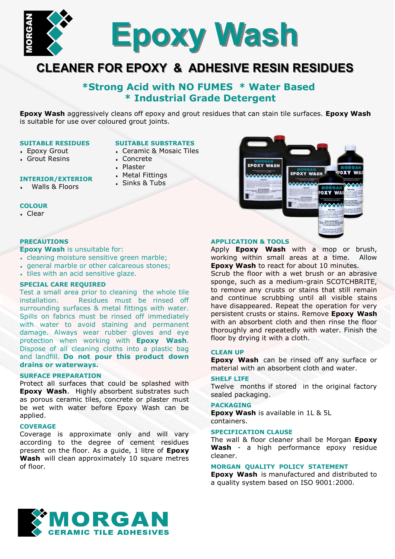

# **CLEANER FOR EPOXY & ADHESIVE RESIN RESIDUES**

## **\*Strong Acid with NO FUMES \* Water Based \* Industrial Grade Detergent**

**Epoxy Wash** aggressively cleans off epoxy and grout residues that can stain tile surfaces. **Epoxy Wash** is suitable for use over coloured grout joints.

#### **SUITABLE RESIDUES**

**INTERIOR/EXTERIOR** Walls & Floors

- Epoxy Grout
- Grout Resins

### **SUITABLE SUBSTRATES**

- Ceramic & Mosaic Tiles
- Concrete
- Plaster
- Metal Fittings
- Sinks & Tubs



#### **COLOUR** Clear

#### **PRECAUTIONS**

**Epoxy Wash** is unsuitable for:

- cleaning moisture sensitive green marble;
- general marble or other calcareous stones;
- tiles with an acid sensitive glaze.

## **SPECIAL CARE REQUIRED**

Test a small area prior to cleaning the whole tile installation. Residues must be rinsed off surrounding surfaces & metal fittings with water. Spills on fabrics must be rinsed off immediately with water to avoid staining and permanent damage. Always wear rubber gloves and eye protection when working with **Epoxy Wash**. Dispose of all cleaning cloths into a plastic bag and landfill. **Do not pour this product down drains or waterways.**

#### **SURFACE PREPARATION**

Protect all surfaces that could be splashed with **Epoxy Wash**. Highly absorbent substrates such as porous ceramic tiles, concrete or plaster must be wet with water before Epoxy Wash can be applied.

## **COVERAGE**

Coverage is approximate only and will vary according to the degree of cement residues present on the floor. As a guide, 1 litre of **Epoxy Wash** will clean approximately 10 square metres of floor.

#### **APPLICATION & TOOLS**

Apply **Epoxy Wash** with a mop or brush, working within small areas at a time. Allow **Epoxy Wash** to react for about 10 minutes.

Scrub the floor with a wet brush or an abrasive sponge, such as a medium-grain SCOTCHBRITE, to remove any crusts or stains that still remain and continue scrubbing until all visible stains have disappeared. Repeat the operation for very persistent crusts or stains. Remove **Epoxy Wash**  with an absorbent cloth and then rinse the floor thoroughly and repeatedly with water. Finish the floor by drying it with a cloth.

#### **CLEAN UP**

**Epoxy Wash** can be rinsed off any surface or material with an absorbent cloth and water.

#### **SHELF LIFE**

Twelve months if stored in the original factory sealed packaging.

#### **PACKAGING**

**Epoxy Wash** is available in 1L & 5L containers.

## **SPECIFICATION CLAUSE**

The wall & floor cleaner shall be Morgan **Epoxy Wash** - a high performance epoxy residue cleaner.

#### **MORGAN QUALITY POLICY STATEMENT**

**Epoxy Wash** is manufactured and distributed to a quality system based on ISO 9001:2000.